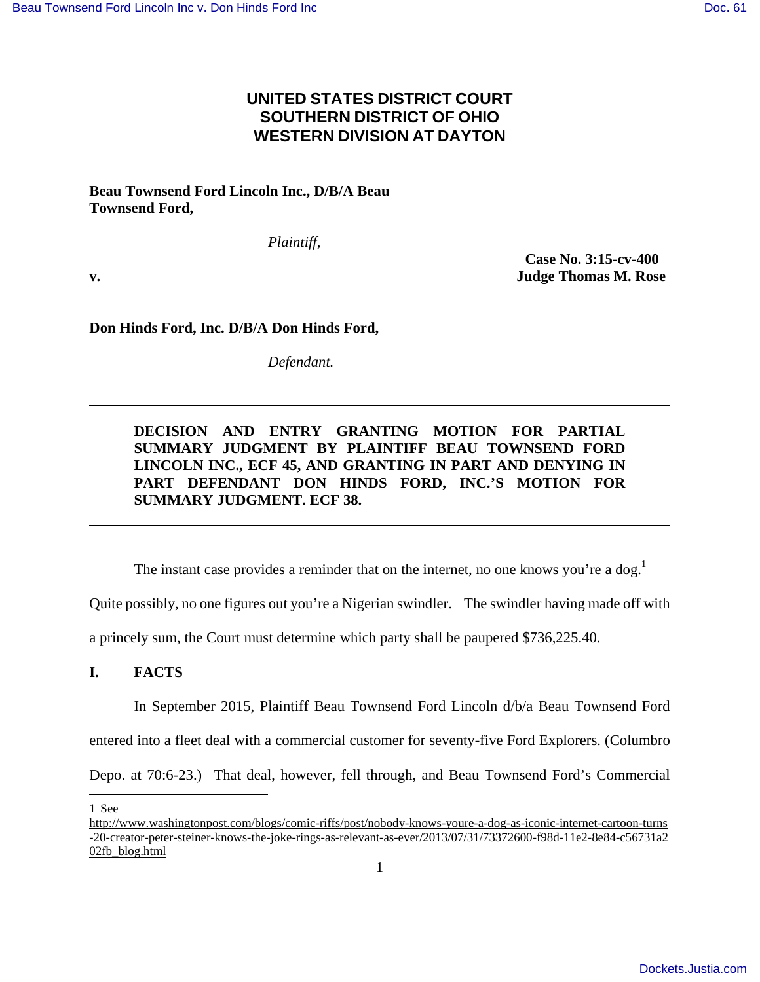# **UNITED STATES DISTRICT COURT SOUTHERN DISTRICT OF OHIO WESTERN DIVISION AT DAYTON**

**Beau Townsend Ford Lincoln Inc., D/B/A Beau Townsend Ford,** 

*Plaintiff,* 

 **Case No. 3:15-cv-400 v. Judge Thomas M. Rose** 

**Don Hinds Ford, Inc. D/B/A Don Hinds Ford,** 

*Defendant.* 

## **DECISION AND ENTRY GRANTING MOTION FOR PARTIAL SUMMARY JUDGMENT BY PLAINTIFF BEAU TOWNSEND FORD LINCOLN INC., ECF 45, AND GRANTING IN PART AND DENYING IN PART DEFENDANT DON HINDS FORD, INC.'S MOTION FOR SUMMARY JUDGMENT. ECF 38.**

The instant case provides a reminder that on the internet, no one knows you're a dog.<sup>1</sup>

Quite possibly, no one figures out you're a Nigerian swindler. The swindler having made off with

a princely sum, the Court must determine which party shall be paupered \$736,225.40.

### **I. FACTS**

In September 2015, Plaintiff Beau Townsend Ford Lincoln d/b/a Beau Townsend Ford

entered into a fleet deal with a commercial customer for seventy-five Ford Explorers. (Columbro

Depo. at 70:6-23.) That deal, however, fell through, and Beau Townsend Ford's Commercial

 $\overline{a}$ 1 See

http://www.washingtonpost.com/blogs/comic-riffs/post/nobody-knows-youre-a-dog-as-iconic-internet-cartoon-turns -20-creator-peter-steiner-knows-the-joke-rings-as-relevant-as-ever/2013/07/31/73372600-f98d-11e2-8e84-c56731a2 02fb\_blog.html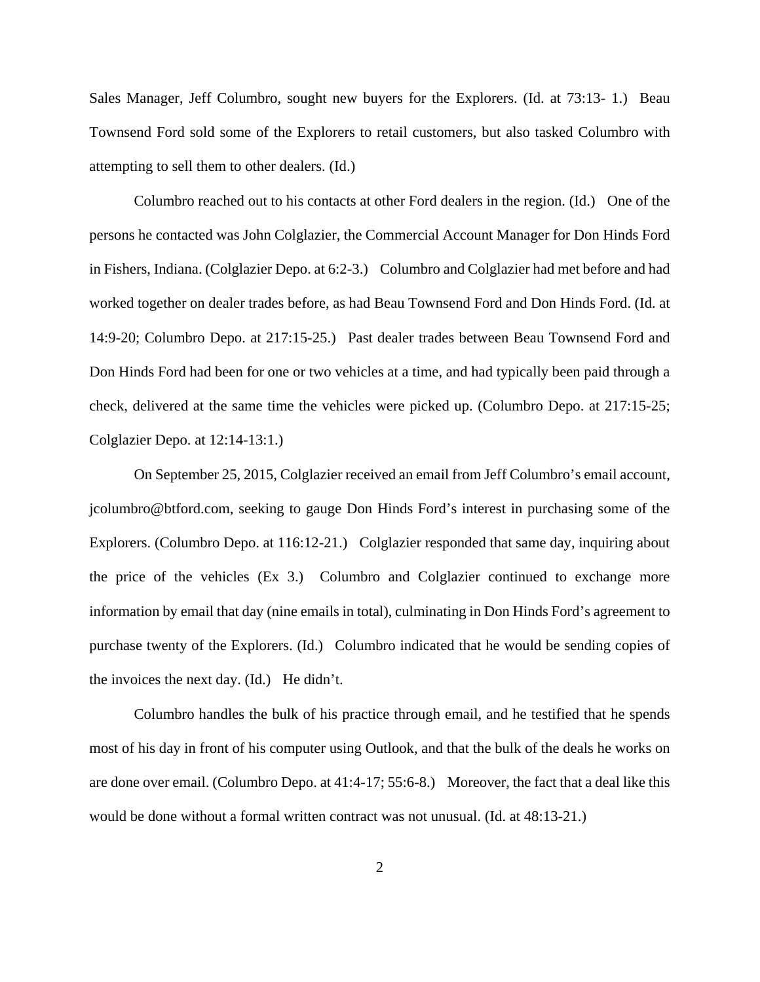Sales Manager, Jeff Columbro, sought new buyers for the Explorers. (Id. at 73:13- 1.) Beau Townsend Ford sold some of the Explorers to retail customers, but also tasked Columbro with attempting to sell them to other dealers. (Id.)

Columbro reached out to his contacts at other Ford dealers in the region. (Id.) One of the persons he contacted was John Colglazier, the Commercial Account Manager for Don Hinds Ford in Fishers, Indiana. (Colglazier Depo. at 6:2-3.) Columbro and Colglazier had met before and had worked together on dealer trades before, as had Beau Townsend Ford and Don Hinds Ford. (Id. at 14:9-20; Columbro Depo. at 217:15-25.) Past dealer trades between Beau Townsend Ford and Don Hinds Ford had been for one or two vehicles at a time, and had typically been paid through a check, delivered at the same time the vehicles were picked up. (Columbro Depo. at 217:15-25; Colglazier Depo. at 12:14-13:1.)

On September 25, 2015, Colglazier received an email from Jeff Columbro's email account, jcolumbro@btford.com, seeking to gauge Don Hinds Ford's interest in purchasing some of the Explorers. (Columbro Depo. at 116:12-21.) Colglazier responded that same day, inquiring about the price of the vehicles (Ex 3.) Columbro and Colglazier continued to exchange more information by email that day (nine emails in total), culminating in Don Hinds Ford's agreement to purchase twenty of the Explorers. (Id.) Columbro indicated that he would be sending copies of the invoices the next day. (Id.) He didn't.

Columbro handles the bulk of his practice through email, and he testified that he spends most of his day in front of his computer using Outlook, and that the bulk of the deals he works on are done over email. (Columbro Depo. at 41:4-17; 55:6-8.) Moreover, the fact that a deal like this would be done without a formal written contract was not unusual. (Id. at 48:13-21.)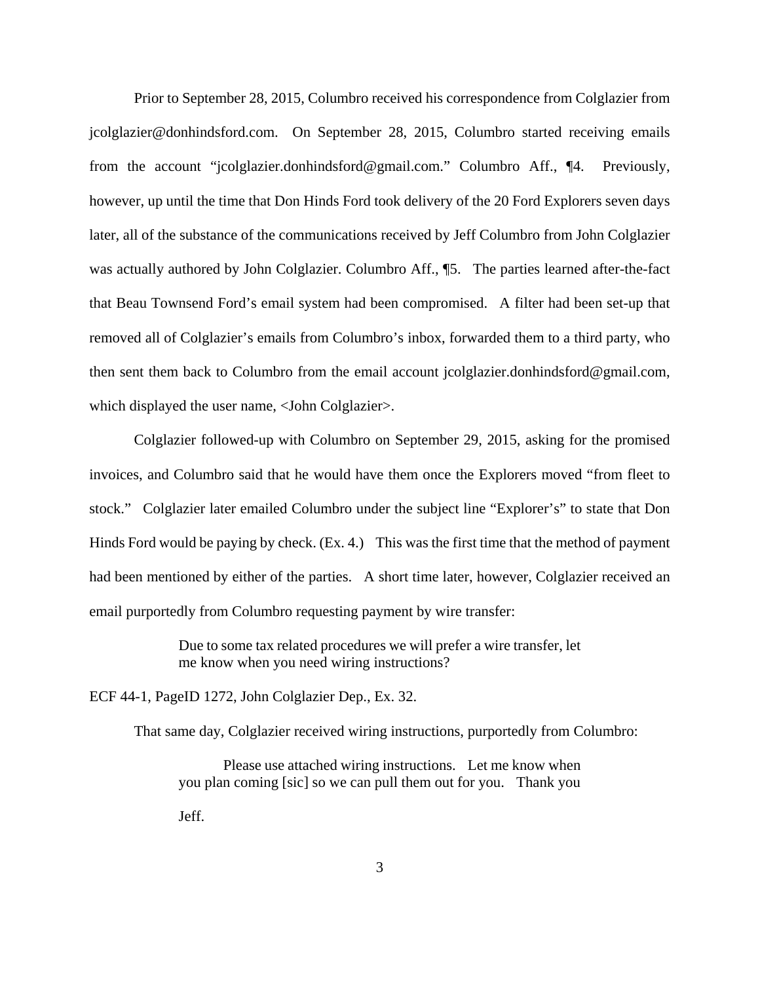Prior to September 28, 2015, Columbro received his correspondence from Colglazier from jcolglazier@donhindsford.com. On September 28, 2015, Columbro started receiving emails from the account "jcolglazier.donhindsford@gmail.com." Columbro Aff., ¶4. Previously, however, up until the time that Don Hinds Ford took delivery of the 20 Ford Explorers seven days later, all of the substance of the communications received by Jeff Columbro from John Colglazier was actually authored by John Colglazier. Columbro Aff., ¶5. The parties learned after-the-fact that Beau Townsend Ford's email system had been compromised. A filter had been set-up that removed all of Colglazier's emails from Columbro's inbox, forwarded them to a third party, who then sent them back to Columbro from the email account jcolglazier.donhindsford@gmail.com, which displayed the user name, <John Colglazier>.

Colglazier followed-up with Columbro on September 29, 2015, asking for the promised invoices, and Columbro said that he would have them once the Explorers moved "from fleet to stock." Colglazier later emailed Columbro under the subject line "Explorer's" to state that Don Hinds Ford would be paying by check. (Ex. 4.) This was the first time that the method of payment had been mentioned by either of the parties. A short time later, however, Colglazier received an email purportedly from Columbro requesting payment by wire transfer:

> Due to some tax related procedures we will prefer a wire transfer, let me know when you need wiring instructions?

ECF 44-1, PageID 1272, John Colglazier Dep., Ex. 32.

That same day, Colglazier received wiring instructions, purportedly from Columbro:

Please use attached wiring instructions. Let me know when you plan coming [sic] so we can pull them out for you. Thank you Jeff.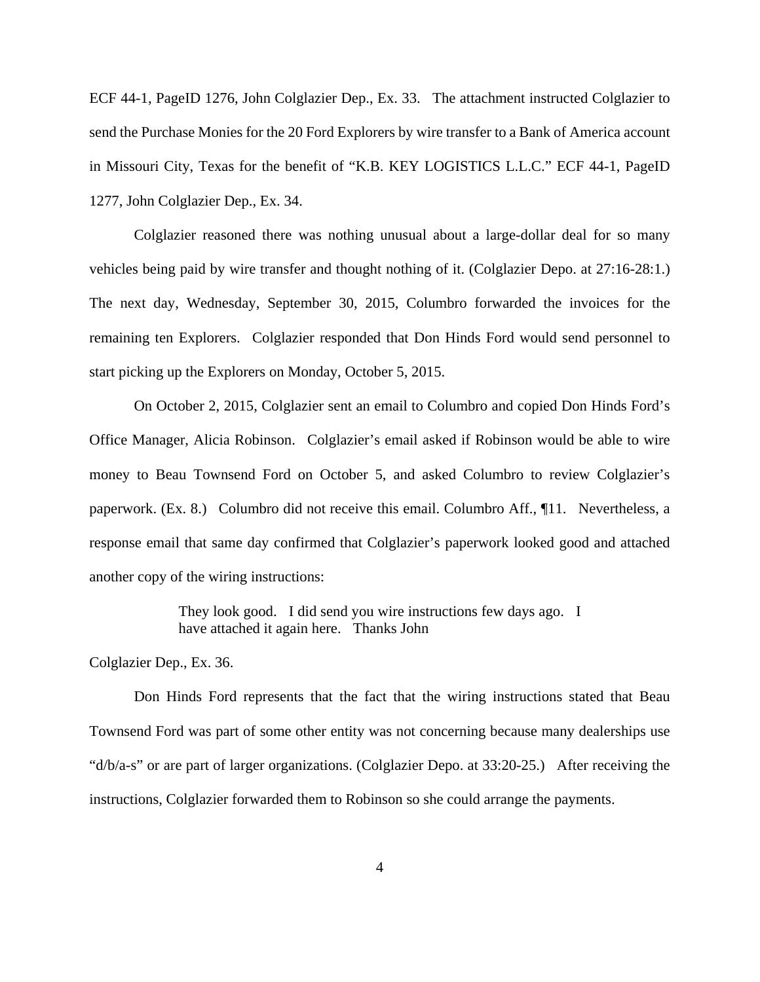ECF 44-1, PageID 1276, John Colglazier Dep., Ex. 33. The attachment instructed Colglazier to send the Purchase Monies for the 20 Ford Explorers by wire transfer to a Bank of America account in Missouri City, Texas for the benefit of "K.B. KEY LOGISTICS L.L.C." ECF 44-1, PageID 1277, John Colglazier Dep., Ex. 34.

Colglazier reasoned there was nothing unusual about a large-dollar deal for so many vehicles being paid by wire transfer and thought nothing of it. (Colglazier Depo. at 27:16-28:1.) The next day, Wednesday, September 30, 2015, Columbro forwarded the invoices for the remaining ten Explorers. Colglazier responded that Don Hinds Ford would send personnel to start picking up the Explorers on Monday, October 5, 2015.

On October 2, 2015, Colglazier sent an email to Columbro and copied Don Hinds Ford's Office Manager, Alicia Robinson. Colglazier's email asked if Robinson would be able to wire money to Beau Townsend Ford on October 5, and asked Columbro to review Colglazier's paperwork. (Ex. 8.) Columbro did not receive this email. Columbro Aff., ¶11. Nevertheless, a response email that same day confirmed that Colglazier's paperwork looked good and attached another copy of the wiring instructions:

> They look good. I did send you wire instructions few days ago. I have attached it again here. Thanks John

Colglazier Dep., Ex. 36.

Don Hinds Ford represents that the fact that the wiring instructions stated that Beau Townsend Ford was part of some other entity was not concerning because many dealerships use "d/b/a-s" or are part of larger organizations. (Colglazier Depo. at 33:20-25.) After receiving the instructions, Colglazier forwarded them to Robinson so she could arrange the payments.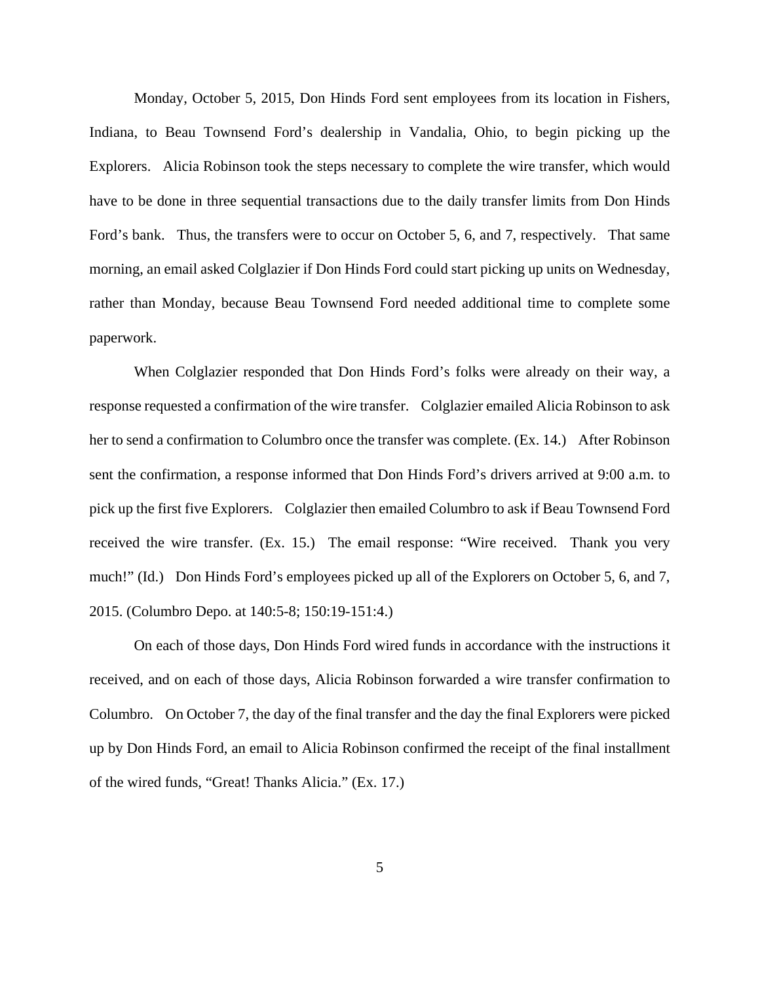Monday, October 5, 2015, Don Hinds Ford sent employees from its location in Fishers, Indiana, to Beau Townsend Ford's dealership in Vandalia, Ohio, to begin picking up the Explorers. Alicia Robinson took the steps necessary to complete the wire transfer, which would have to be done in three sequential transactions due to the daily transfer limits from Don Hinds Ford's bank. Thus, the transfers were to occur on October 5, 6, and 7, respectively. That same morning, an email asked Colglazier if Don Hinds Ford could start picking up units on Wednesday, rather than Monday, because Beau Townsend Ford needed additional time to complete some paperwork.

When Colglazier responded that Don Hinds Ford's folks were already on their way, a response requested a confirmation of the wire transfer. Colglazier emailed Alicia Robinson to ask her to send a confirmation to Columbro once the transfer was complete. (Ex. 14.) After Robinson sent the confirmation, a response informed that Don Hinds Ford's drivers arrived at 9:00 a.m. to pick up the first five Explorers. Colglazier then emailed Columbro to ask if Beau Townsend Ford received the wire transfer. (Ex. 15.) The email response: "Wire received. Thank you very much!" (Id.) Don Hinds Ford's employees picked up all of the Explorers on October 5, 6, and 7, 2015. (Columbro Depo. at 140:5-8; 150:19-151:4.)

On each of those days, Don Hinds Ford wired funds in accordance with the instructions it received, and on each of those days, Alicia Robinson forwarded a wire transfer confirmation to Columbro. On October 7, the day of the final transfer and the day the final Explorers were picked up by Don Hinds Ford, an email to Alicia Robinson confirmed the receipt of the final installment of the wired funds, "Great! Thanks Alicia." (Ex. 17.)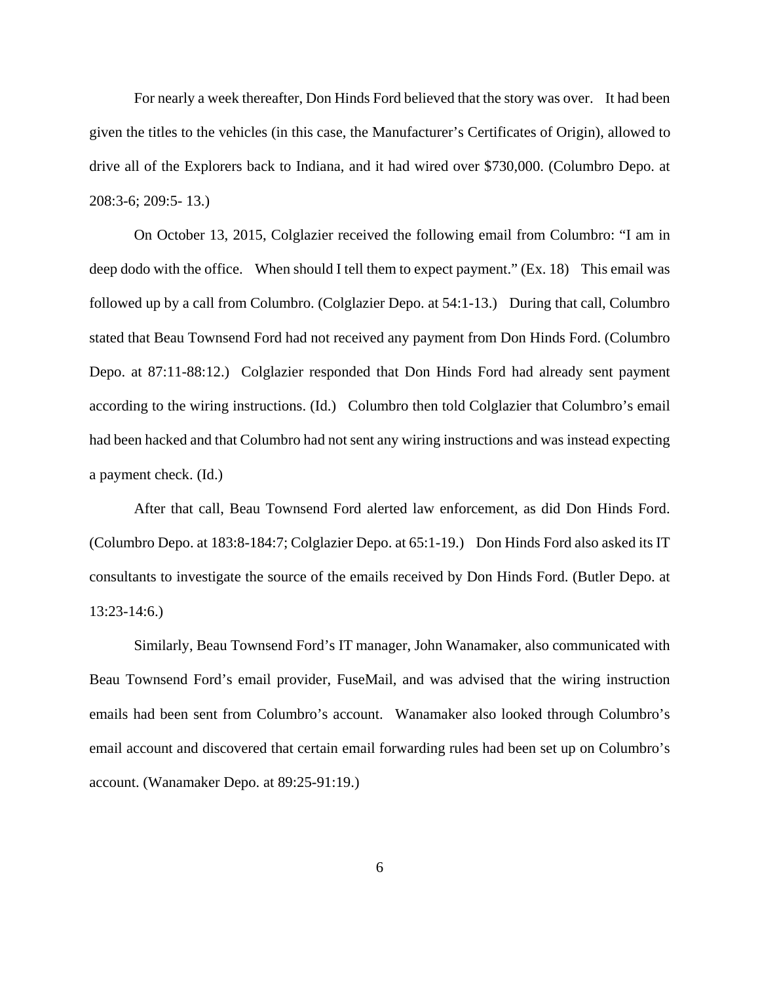For nearly a week thereafter, Don Hinds Ford believed that the story was over. It had been given the titles to the vehicles (in this case, the Manufacturer's Certificates of Origin), allowed to drive all of the Explorers back to Indiana, and it had wired over \$730,000. (Columbro Depo. at 208:3-6; 209:5- 13.)

On October 13, 2015, Colglazier received the following email from Columbro: "I am in deep dodo with the office. When should I tell them to expect payment." (Ex. 18) This email was followed up by a call from Columbro. (Colglazier Depo. at 54:1-13.) During that call, Columbro stated that Beau Townsend Ford had not received any payment from Don Hinds Ford. (Columbro Depo. at 87:11-88:12.) Colglazier responded that Don Hinds Ford had already sent payment according to the wiring instructions. (Id.) Columbro then told Colglazier that Columbro's email had been hacked and that Columbro had not sent any wiring instructions and was instead expecting a payment check. (Id.)

After that call, Beau Townsend Ford alerted law enforcement, as did Don Hinds Ford. (Columbro Depo. at 183:8-184:7; Colglazier Depo. at 65:1-19.) Don Hinds Ford also asked its IT consultants to investigate the source of the emails received by Don Hinds Ford. (Butler Depo. at 13:23-14:6.)

Similarly, Beau Townsend Ford's IT manager, John Wanamaker, also communicated with Beau Townsend Ford's email provider, FuseMail, and was advised that the wiring instruction emails had been sent from Columbro's account. Wanamaker also looked through Columbro's email account and discovered that certain email forwarding rules had been set up on Columbro's account. (Wanamaker Depo. at 89:25-91:19.)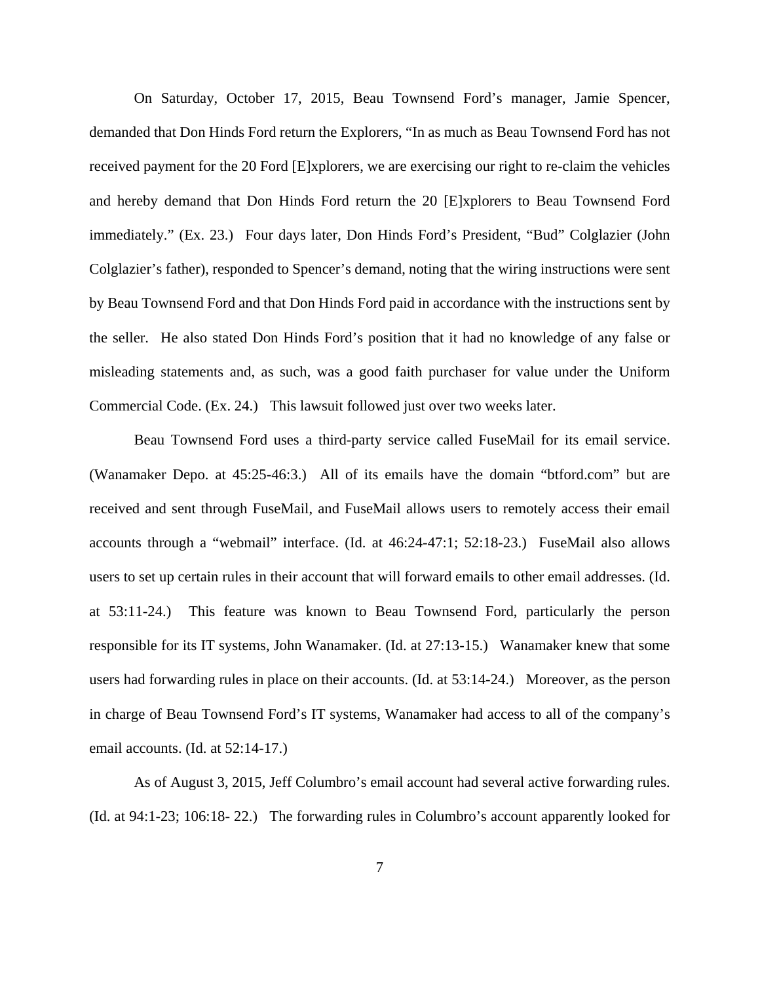On Saturday, October 17, 2015, Beau Townsend Ford's manager, Jamie Spencer, demanded that Don Hinds Ford return the Explorers, "In as much as Beau Townsend Ford has not received payment for the 20 Ford [E]xplorers, we are exercising our right to re-claim the vehicles and hereby demand that Don Hinds Ford return the 20 [E]xplorers to Beau Townsend Ford immediately." (Ex. 23.) Four days later, Don Hinds Ford's President, "Bud" Colglazier (John Colglazier's father), responded to Spencer's demand, noting that the wiring instructions were sent by Beau Townsend Ford and that Don Hinds Ford paid in accordance with the instructions sent by the seller. He also stated Don Hinds Ford's position that it had no knowledge of any false or misleading statements and, as such, was a good faith purchaser for value under the Uniform Commercial Code. (Ex. 24.) This lawsuit followed just over two weeks later.

Beau Townsend Ford uses a third-party service called FuseMail for its email service. (Wanamaker Depo. at 45:25-46:3.) All of its emails have the domain "btford.com" but are received and sent through FuseMail, and FuseMail allows users to remotely access their email accounts through a "webmail" interface. (Id. at 46:24-47:1; 52:18-23.) FuseMail also allows users to set up certain rules in their account that will forward emails to other email addresses. (Id. at 53:11-24.) This feature was known to Beau Townsend Ford, particularly the person responsible for its IT systems, John Wanamaker. (Id. at 27:13-15.) Wanamaker knew that some users had forwarding rules in place on their accounts. (Id. at 53:14-24.) Moreover, as the person in charge of Beau Townsend Ford's IT systems, Wanamaker had access to all of the company's email accounts. (Id. at 52:14-17.)

As of August 3, 2015, Jeff Columbro's email account had several active forwarding rules. (Id. at 94:1-23; 106:18- 22.) The forwarding rules in Columbro's account apparently looked for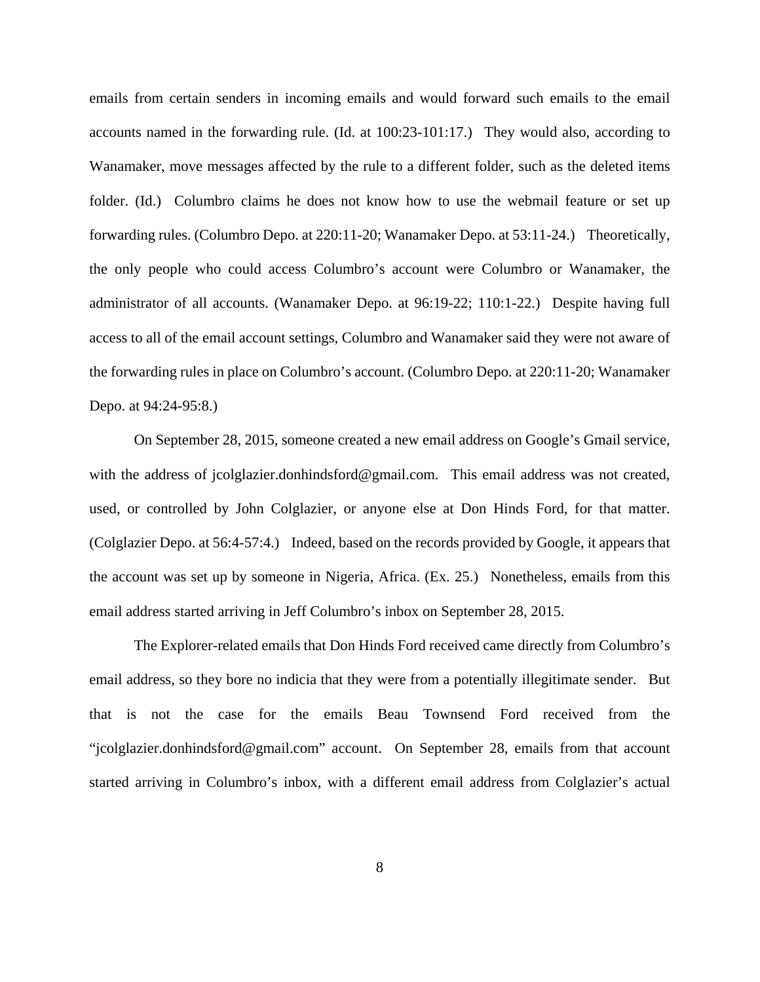emails from certain senders in incoming emails and would forward such emails to the email accounts named in the forwarding rule. (Id. at 100:23-101:17.) They would also, according to Wanamaker, move messages affected by the rule to a different folder, such as the deleted items folder. (Id.) Columbro claims he does not know how to use the webmail feature or set up forwarding rules. (Columbro Depo. at 220:11-20; Wanamaker Depo. at 53:11-24.) Theoretically, the only people who could access Columbro's account were Columbro or Wanamaker, the administrator of all accounts. (Wanamaker Depo. at 96:19-22; 110:1-22.) Despite having full access to all of the email account settings, Columbro and Wanamaker said they were not aware of the forwarding rules in place on Columbro's account. (Columbro Depo. at 220:11-20; Wanamaker Depo. at 94:24-95:8.)

On September 28, 2015, someone created a new email address on Google's Gmail service, with the address of jcolglazier.donhindsford@gmail.com. This email address was not created, used, or controlled by John Colglazier, or anyone else at Don Hinds Ford, for that matter. (Colglazier Depo. at 56:4-57:4.) Indeed, based on the records provided by Google, it appears that the account was set up by someone in Nigeria, Africa. (Ex. 25.) Nonetheless, emails from this email address started arriving in Jeff Columbro's inbox on September 28, 2015.

The Explorer-related emails that Don Hinds Ford received came directly from Columbro's email address, so they bore no indicia that they were from a potentially illegitimate sender. But that is not the case for the emails Beau Townsend Ford received from the "jcolglazier.donhindsford@gmail.com" account. On September 28, emails from that account started arriving in Columbro's inbox, with a different email address from Colglazier's actual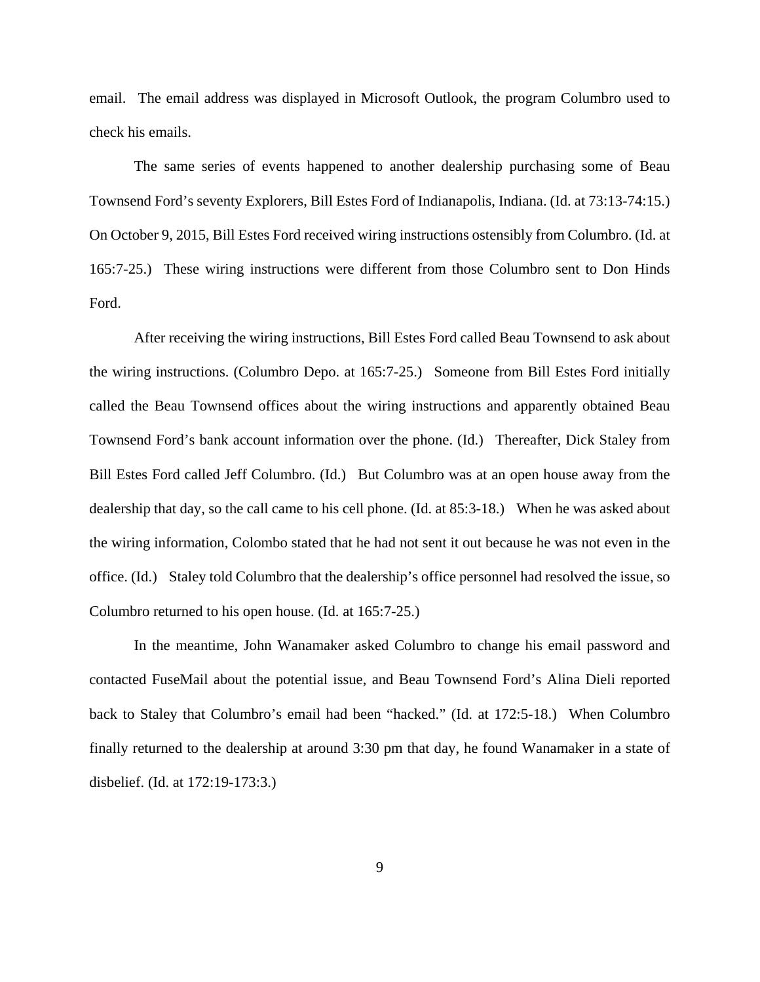email. The email address was displayed in Microsoft Outlook, the program Columbro used to check his emails.

The same series of events happened to another dealership purchasing some of Beau Townsend Ford's seventy Explorers, Bill Estes Ford of Indianapolis, Indiana. (Id. at 73:13-74:15.) On October 9, 2015, Bill Estes Ford received wiring instructions ostensibly from Columbro. (Id. at 165:7-25.) These wiring instructions were different from those Columbro sent to Don Hinds Ford.

After receiving the wiring instructions, Bill Estes Ford called Beau Townsend to ask about the wiring instructions. (Columbro Depo. at 165:7-25.) Someone from Bill Estes Ford initially called the Beau Townsend offices about the wiring instructions and apparently obtained Beau Townsend Ford's bank account information over the phone. (Id.) Thereafter, Dick Staley from Bill Estes Ford called Jeff Columbro. (Id.) But Columbro was at an open house away from the dealership that day, so the call came to his cell phone. (Id. at 85:3-18.) When he was asked about the wiring information, Colombo stated that he had not sent it out because he was not even in the office. (Id.) Staley told Columbro that the dealership's office personnel had resolved the issue, so Columbro returned to his open house. (Id. at 165:7-25.)

In the meantime, John Wanamaker asked Columbro to change his email password and contacted FuseMail about the potential issue, and Beau Townsend Ford's Alina Dieli reported back to Staley that Columbro's email had been "hacked." (Id. at 172:5-18.) When Columbro finally returned to the dealership at around 3:30 pm that day, he found Wanamaker in a state of disbelief. (Id. at 172:19-173:3.)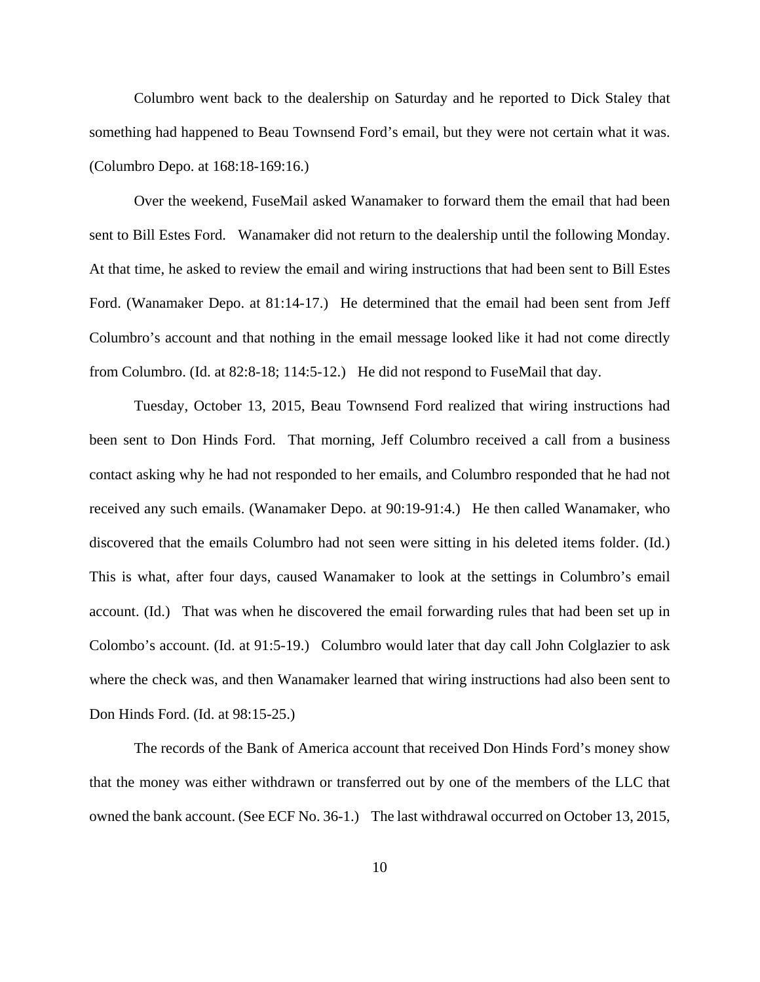Columbro went back to the dealership on Saturday and he reported to Dick Staley that something had happened to Beau Townsend Ford's email, but they were not certain what it was. (Columbro Depo. at 168:18-169:16.)

Over the weekend, FuseMail asked Wanamaker to forward them the email that had been sent to Bill Estes Ford. Wanamaker did not return to the dealership until the following Monday. At that time, he asked to review the email and wiring instructions that had been sent to Bill Estes Ford. (Wanamaker Depo. at 81:14-17.) He determined that the email had been sent from Jeff Columbro's account and that nothing in the email message looked like it had not come directly from Columbro. (Id. at 82:8-18; 114:5-12.) He did not respond to FuseMail that day.

Tuesday, October 13, 2015, Beau Townsend Ford realized that wiring instructions had been sent to Don Hinds Ford. That morning, Jeff Columbro received a call from a business contact asking why he had not responded to her emails, and Columbro responded that he had not received any such emails. (Wanamaker Depo. at 90:19-91:4.) He then called Wanamaker, who discovered that the emails Columbro had not seen were sitting in his deleted items folder. (Id.) This is what, after four days, caused Wanamaker to look at the settings in Columbro's email account. (Id.) That was when he discovered the email forwarding rules that had been set up in Colombo's account. (Id. at 91:5-19.) Columbro would later that day call John Colglazier to ask where the check was, and then Wanamaker learned that wiring instructions had also been sent to Don Hinds Ford. (Id. at 98:15-25.)

The records of the Bank of America account that received Don Hinds Ford's money show that the money was either withdrawn or transferred out by one of the members of the LLC that owned the bank account. (See ECF No. 36-1.) The last withdrawal occurred on October 13, 2015,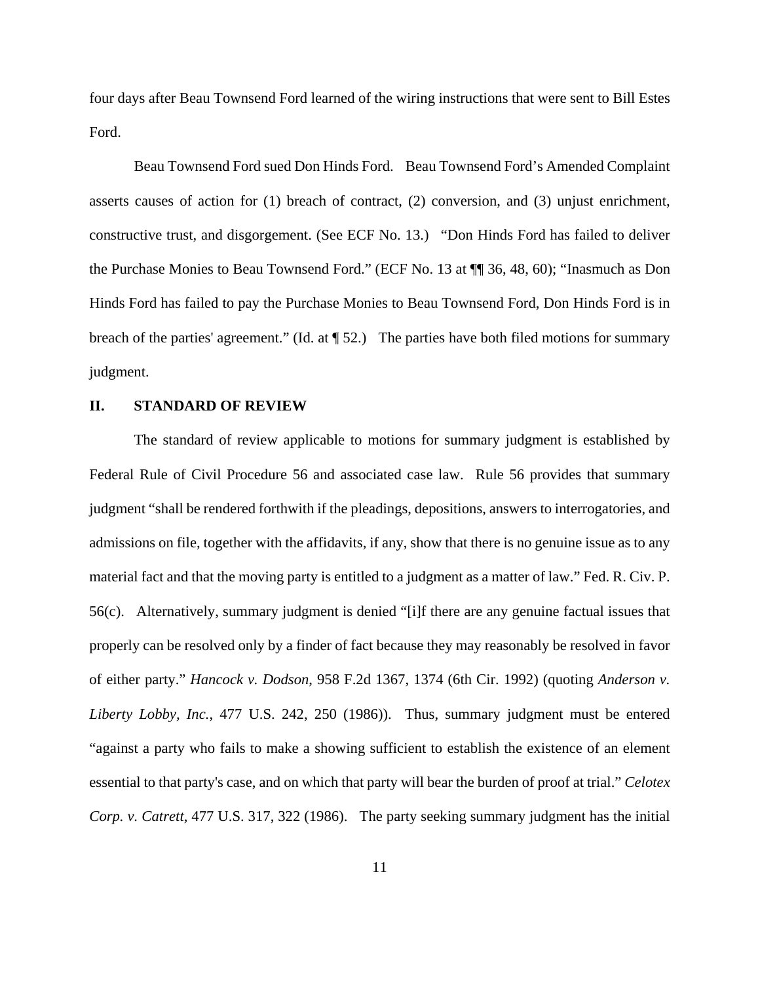four days after Beau Townsend Ford learned of the wiring instructions that were sent to Bill Estes Ford.

Beau Townsend Ford sued Don Hinds Ford. Beau Townsend Ford's Amended Complaint asserts causes of action for (1) breach of contract, (2) conversion, and (3) unjust enrichment, constructive trust, and disgorgement. (See ECF No. 13.) "Don Hinds Ford has failed to deliver the Purchase Monies to Beau Townsend Ford." (ECF No. 13 at ¶¶ 36, 48, 60); "Inasmuch as Don Hinds Ford has failed to pay the Purchase Monies to Beau Townsend Ford, Don Hinds Ford is in breach of the parties' agreement." (Id. at ¶ 52.) The parties have both filed motions for summary judgment.

#### **II. STANDARD OF REVIEW**

The standard of review applicable to motions for summary judgment is established by Federal Rule of Civil Procedure 56 and associated case law. Rule 56 provides that summary judgment "shall be rendered forthwith if the pleadings, depositions, answers to interrogatories, and admissions on file, together with the affidavits, if any, show that there is no genuine issue as to any material fact and that the moving party is entitled to a judgment as a matter of law." Fed. R. Civ. P. 56(c). Alternatively, summary judgment is denied "[i]f there are any genuine factual issues that properly can be resolved only by a finder of fact because they may reasonably be resolved in favor of either party." *Hancock v. Dodson*, 958 F.2d 1367, 1374 (6th Cir. 1992) (quoting *Anderson v. Liberty Lobby, Inc.*, 477 U.S. 242, 250 (1986)). Thus, summary judgment must be entered "against a party who fails to make a showing sufficient to establish the existence of an element essential to that party's case, and on which that party will bear the burden of proof at trial." *Celotex Corp. v. Catrett*, 477 U.S. 317, 322 (1986). The party seeking summary judgment has the initial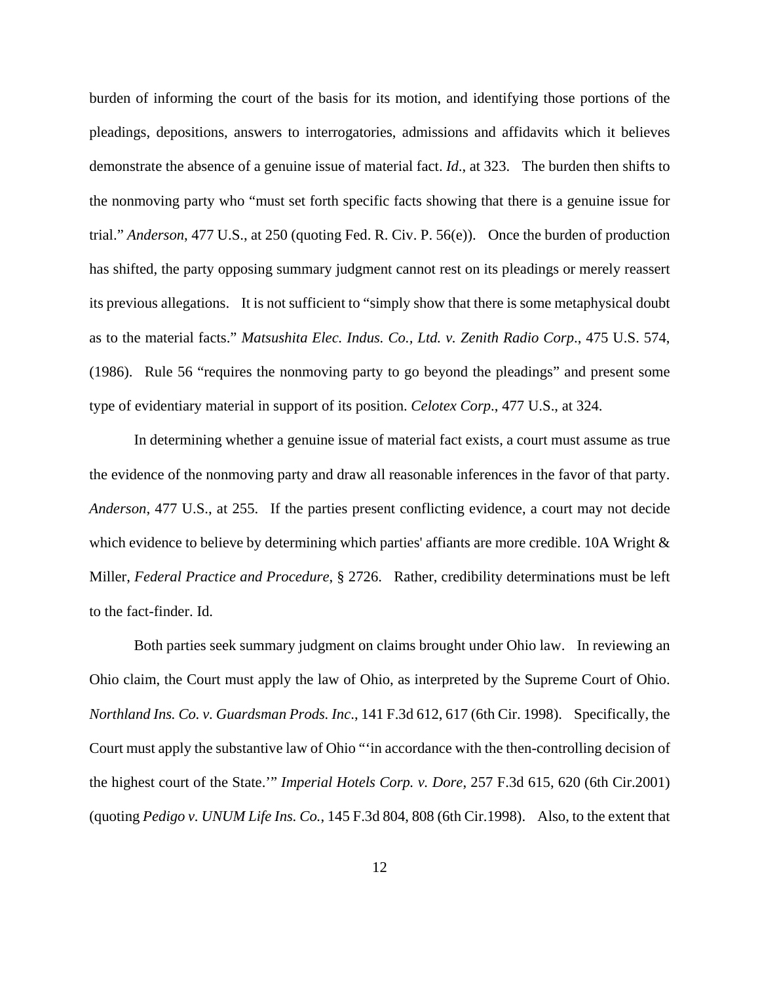burden of informing the court of the basis for its motion, and identifying those portions of the pleadings, depositions, answers to interrogatories, admissions and affidavits which it believes demonstrate the absence of a genuine issue of material fact. *Id*., at 323. The burden then shifts to the nonmoving party who "must set forth specific facts showing that there is a genuine issue for trial." *Anderson*, 477 U.S., at 250 (quoting Fed. R. Civ. P. 56(e)). Once the burden of production has shifted, the party opposing summary judgment cannot rest on its pleadings or merely reassert its previous allegations. It is not sufficient to "simply show that there is some metaphysical doubt as to the material facts." *Matsushita Elec. Indus. Co., Ltd. v. Zenith Radio Corp*., 475 U.S. 574, (1986). Rule 56 "requires the nonmoving party to go beyond the pleadings" and present some type of evidentiary material in support of its position. *Celotex Corp*., 477 U.S., at 324.

In determining whether a genuine issue of material fact exists, a court must assume as true the evidence of the nonmoving party and draw all reasonable inferences in the favor of that party. *Anderson*, 477 U.S., at 255. If the parties present conflicting evidence, a court may not decide which evidence to believe by determining which parties' affiants are more credible. 10A Wright  $\&$ Miller, *Federal Practice and Procedure*, § 2726. Rather, credibility determinations must be left to the fact-finder. Id.

Both parties seek summary judgment on claims brought under Ohio law. In reviewing an Ohio claim, the Court must apply the law of Ohio, as interpreted by the Supreme Court of Ohio. *Northland Ins. Co. v. Guardsman Prods. Inc*., 141 F.3d 612, 617 (6th Cir. 1998). Specifically, the Court must apply the substantive law of Ohio "'in accordance with the then-controlling decision of the highest court of the State.'" *Imperial Hotels Corp. v. Dore*, 257 F.3d 615, 620 (6th Cir.2001) (quoting *Pedigo v. UNUM Life Ins. Co.*, 145 F.3d 804, 808 (6th Cir.1998). Also, to the extent that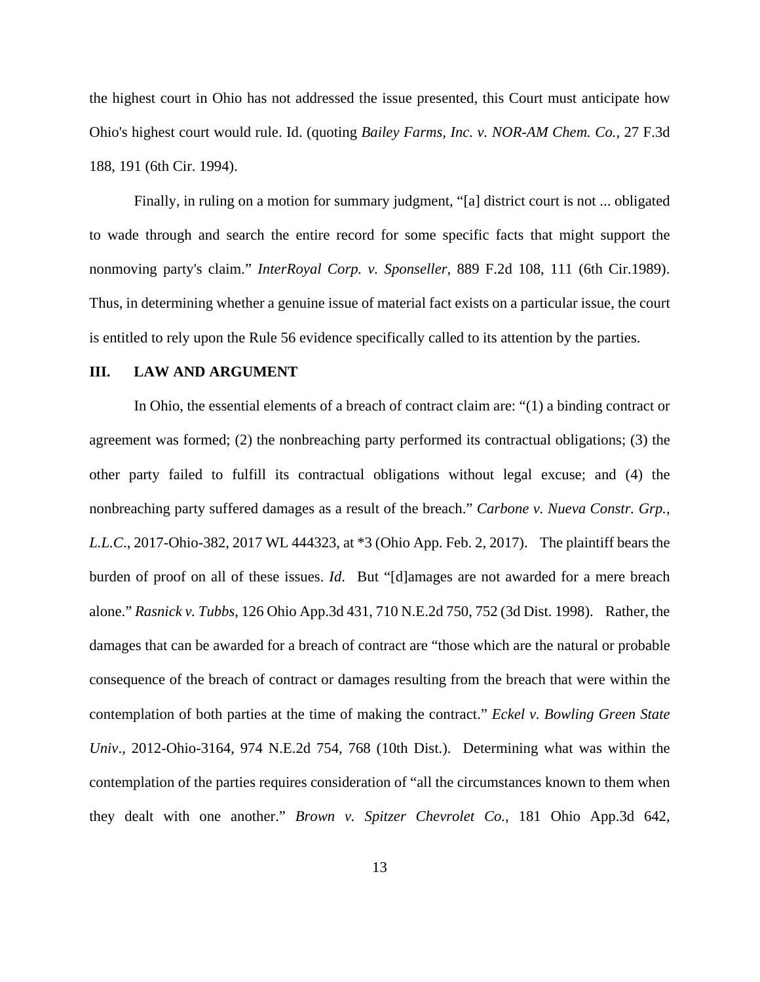the highest court in Ohio has not addressed the issue presented, this Court must anticipate how Ohio's highest court would rule. Id. (quoting *Bailey Farms, Inc. v. NOR-AM Chem. Co.,* 27 F.3d 188, 191 (6th Cir. 1994).

Finally, in ruling on a motion for summary judgment, "[a] district court is not ... obligated to wade through and search the entire record for some specific facts that might support the nonmoving party's claim." *InterRoyal Corp. v. Sponseller*, 889 F.2d 108, 111 (6th Cir.1989). Thus, in determining whether a genuine issue of material fact exists on a particular issue, the court is entitled to rely upon the Rule 56 evidence specifically called to its attention by the parties.

#### **III. LAW AND ARGUMENT**

In Ohio, the essential elements of a breach of contract claim are: "(1) a binding contract or agreement was formed; (2) the nonbreaching party performed its contractual obligations; (3) the other party failed to fulfill its contractual obligations without legal excuse; and (4) the nonbreaching party suffered damages as a result of the breach." *Carbone v. Nueva Constr. Grp., L.L.C*., 2017-Ohio-382, 2017 WL 444323, at \*3 (Ohio App. Feb. 2, 2017). The plaintiff bears the burden of proof on all of these issues. *Id*. But "[d]amages are not awarded for a mere breach alone." *Rasnick v. Tubbs*, 126 Ohio App.3d 431, 710 N.E.2d 750, 752 (3d Dist. 1998). Rather, the damages that can be awarded for a breach of contract are "those which are the natural or probable consequence of the breach of contract or damages resulting from the breach that were within the contemplation of both parties at the time of making the contract." *Eckel v. Bowling Green State Univ*., 2012-Ohio-3164, 974 N.E.2d 754, 768 (10th Dist.). Determining what was within the contemplation of the parties requires consideration of "all the circumstances known to them when they dealt with one another." *Brown v. Spitzer Chevrolet Co.*, 181 Ohio App.3d 642,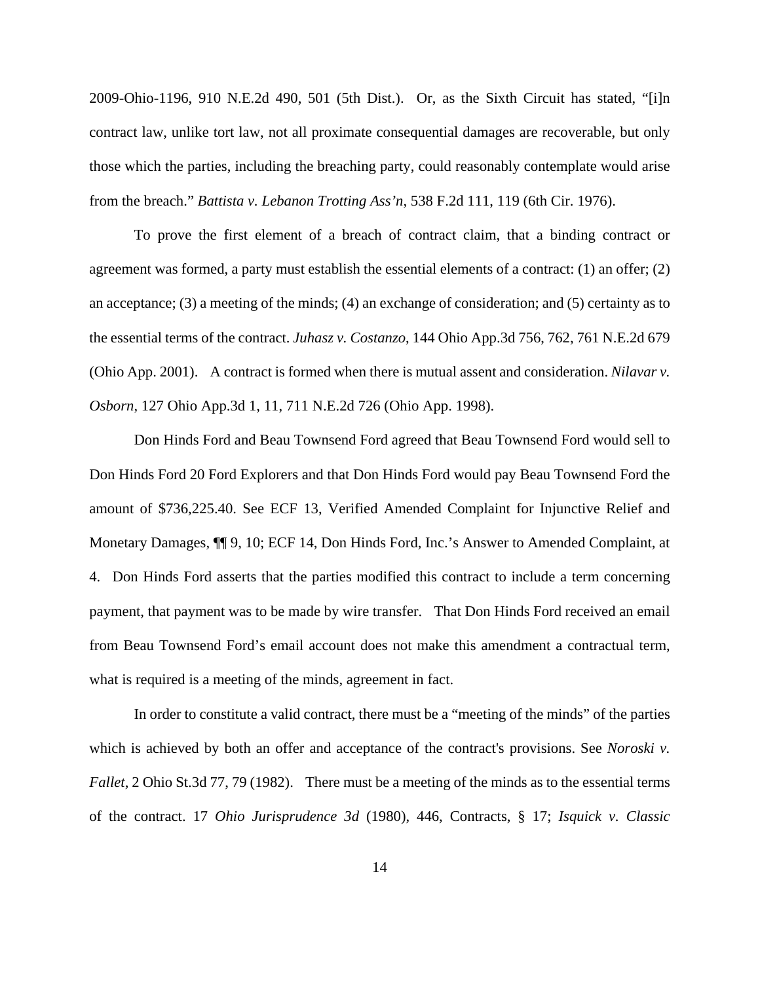2009-Ohio-1196, 910 N.E.2d 490, 501 (5th Dist.). Or, as the Sixth Circuit has stated, "[i]n contract law, unlike tort law, not all proximate consequential damages are recoverable, but only those which the parties, including the breaching party, could reasonably contemplate would arise from the breach." *Battista v. Lebanon Trotting Ass'n*, 538 F.2d 111, 119 (6th Cir. 1976).

To prove the first element of a breach of contract claim, that a binding contract or agreement was formed, a party must establish the essential elements of a contract: (1) an offer; (2) an acceptance; (3) a meeting of the minds; (4) an exchange of consideration; and (5) certainty as to the essential terms of the contract. *Juhasz v. Costanzo*, 144 Ohio App.3d 756, 762, 761 N.E.2d 679 (Ohio App. 2001). A contract is formed when there is mutual assent and consideration. *Nilavar v. Osborn*, 127 Ohio App.3d 1, 11, 711 N.E.2d 726 (Ohio App. 1998).

Don Hinds Ford and Beau Townsend Ford agreed that Beau Townsend Ford would sell to Don Hinds Ford 20 Ford Explorers and that Don Hinds Ford would pay Beau Townsend Ford the amount of \$736,225.40. See ECF 13, Verified Amended Complaint for Injunctive Relief and Monetary Damages, ¶¶ 9, 10; ECF 14, Don Hinds Ford, Inc.'s Answer to Amended Complaint, at 4. Don Hinds Ford asserts that the parties modified this contract to include a term concerning payment, that payment was to be made by wire transfer. That Don Hinds Ford received an email from Beau Townsend Ford's email account does not make this amendment a contractual term, what is required is a meeting of the minds, agreement in fact.

In order to constitute a valid contract, there must be a "meeting of the minds" of the parties which is achieved by both an offer and acceptance of the contract's provisions. See *Noroski v*. *Fallet*, 2 Ohio St.3d 77, 79 (1982). There must be a meeting of the minds as to the essential terms of the contract. 17 *Ohio Jurisprudence 3d* (1980), 446, Contracts, § 17; *Isquick v. Classic*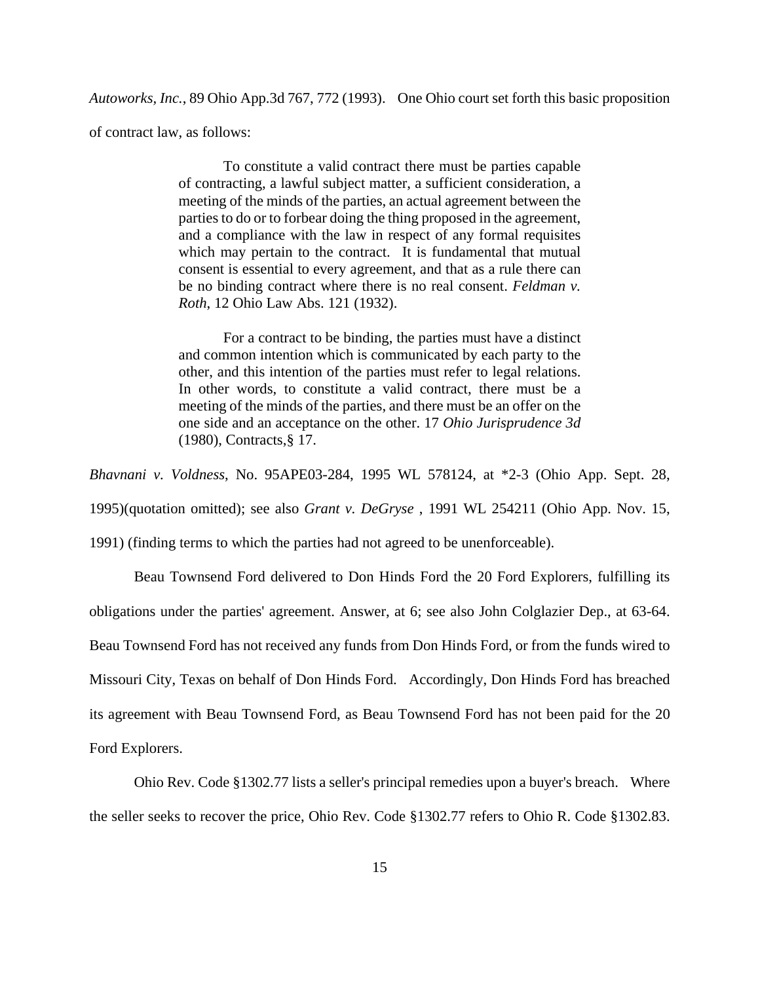*Autoworks, Inc.*, 89 Ohio App.3d 767, 772 (1993). One Ohio court set forth this basic proposition of contract law, as follows:

> To constitute a valid contract there must be parties capable of contracting, a lawful subject matter, a sufficient consideration, a meeting of the minds of the parties, an actual agreement between the parties to do or to forbear doing the thing proposed in the agreement, and a compliance with the law in respect of any formal requisites which may pertain to the contract. It is fundamental that mutual consent is essential to every agreement, and that as a rule there can be no binding contract where there is no real consent. *Feldman v. Roth*, 12 Ohio Law Abs. 121 (1932).

> For a contract to be binding, the parties must have a distinct and common intention which is communicated by each party to the other, and this intention of the parties must refer to legal relations. In other words, to constitute a valid contract, there must be a meeting of the minds of the parties, and there must be an offer on the one side and an acceptance on the other. 17 *Ohio Jurisprudence 3d* (1980), Contracts,§ 17.

*Bhavnani v. Voldness*, No. 95APE03-284, 1995 WL 578124, at \*2-3 (Ohio App. Sept. 28, 1995)(quotation omitted); see also *Grant v. DeGryse* , 1991 WL 254211 (Ohio App. Nov. 15,

1991) (finding terms to which the parties had not agreed to be unenforceable).

Beau Townsend Ford delivered to Don Hinds Ford the 20 Ford Explorers, fulfilling its obligations under the parties' agreement. Answer, at 6; see also John Colglazier Dep., at 63-64. Beau Townsend Ford has not received any funds from Don Hinds Ford, or from the funds wired to Missouri City, Texas on behalf of Don Hinds Ford. Accordingly, Don Hinds Ford has breached its agreement with Beau Townsend Ford, as Beau Townsend Ford has not been paid for the 20 Ford Explorers.

Ohio Rev. Code §1302.77 lists a seller's principal remedies upon a buyer's breach. Where the seller seeks to recover the price, Ohio Rev. Code §1302.77 refers to Ohio R. Code §1302.83.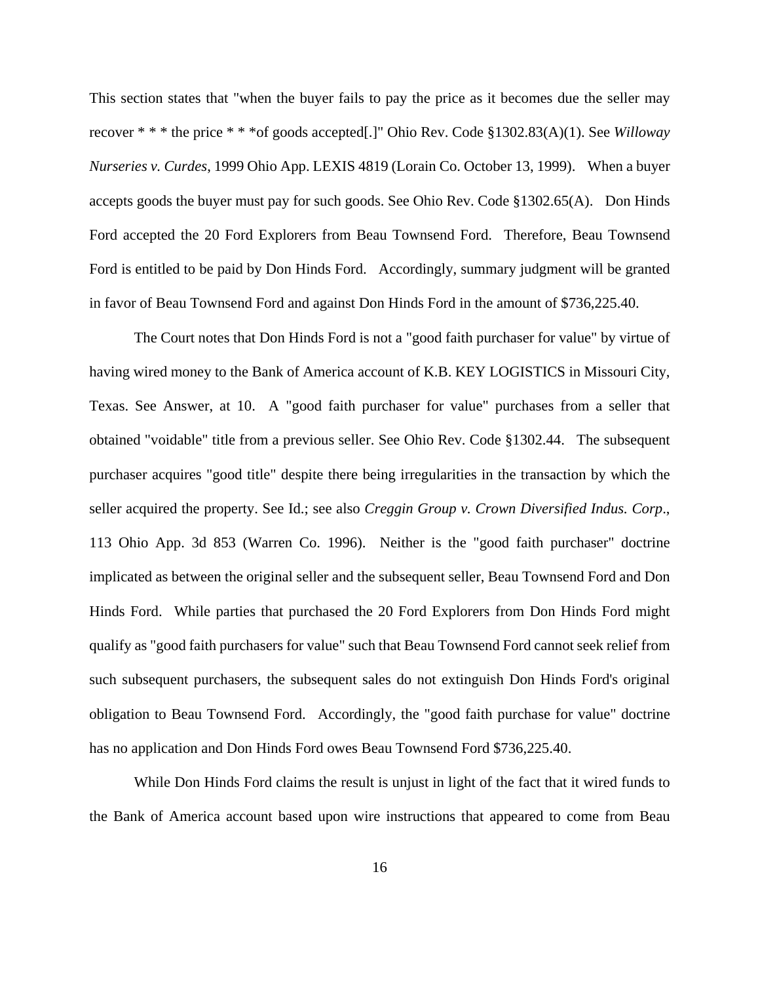This section states that "when the buyer fails to pay the price as it becomes due the seller may recover \* \* \* the price \* \* \*of goods accepted[.]" Ohio Rev. Code §1302.83(A)(1). See *Willoway Nurseries v. Curdes*, 1999 Ohio App. LEXIS 4819 (Lorain Co. October 13, 1999). When a buyer accepts goods the buyer must pay for such goods. See Ohio Rev. Code §1302.65(A). Don Hinds Ford accepted the 20 Ford Explorers from Beau Townsend Ford. Therefore, Beau Townsend Ford is entitled to be paid by Don Hinds Ford. Accordingly, summary judgment will be granted in favor of Beau Townsend Ford and against Don Hinds Ford in the amount of \$736,225.40.

The Court notes that Don Hinds Ford is not a "good faith purchaser for value" by virtue of having wired money to the Bank of America account of K.B. KEY LOGISTICS in Missouri City, Texas. See Answer, at 10. A "good faith purchaser for value" purchases from a seller that obtained "voidable" title from a previous seller. See Ohio Rev. Code §1302.44. The subsequent purchaser acquires "good title" despite there being irregularities in the transaction by which the seller acquired the property. See Id.; see also *Creggin Group v. Crown Diversified Indus. Corp*., 113 Ohio App. 3d 853 (Warren Co. 1996). Neither is the "good faith purchaser" doctrine implicated as between the original seller and the subsequent seller, Beau Townsend Ford and Don Hinds Ford. While parties that purchased the 20 Ford Explorers from Don Hinds Ford might qualify as "good faith purchasers for value" such that Beau Townsend Ford cannot seek relief from such subsequent purchasers, the subsequent sales do not extinguish Don Hinds Ford's original obligation to Beau Townsend Ford. Accordingly, the "good faith purchase for value" doctrine has no application and Don Hinds Ford owes Beau Townsend Ford \$736,225.40.

While Don Hinds Ford claims the result is unjust in light of the fact that it wired funds to the Bank of America account based upon wire instructions that appeared to come from Beau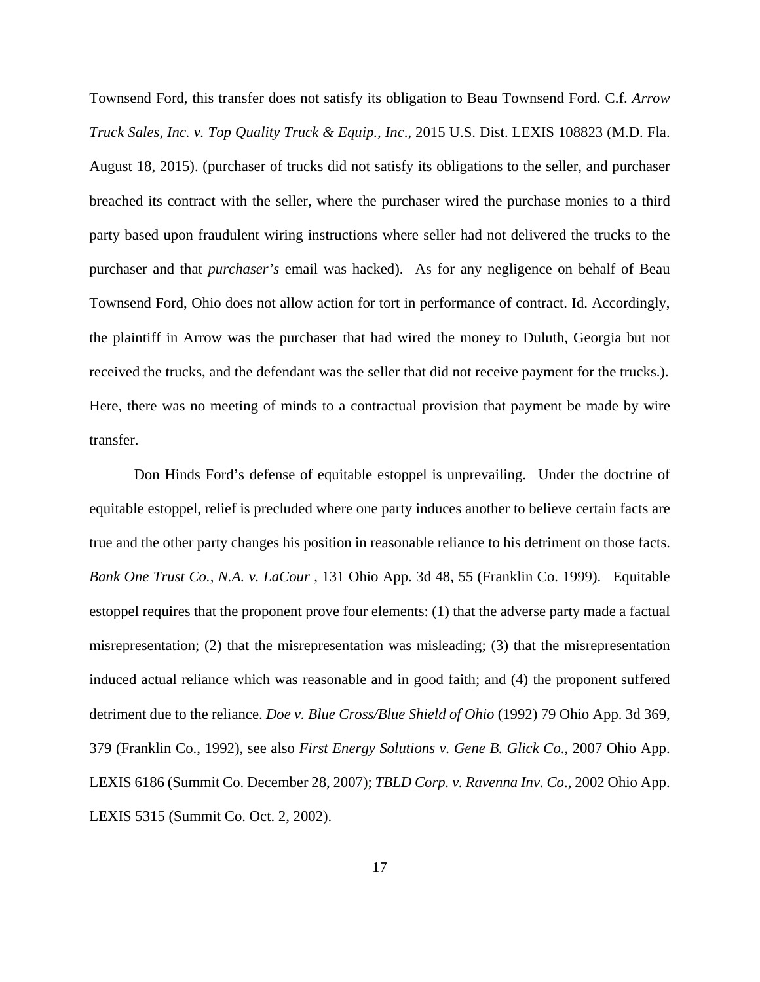Townsend Ford, this transfer does not satisfy its obligation to Beau Townsend Ford. C.f. *Arrow Truck Sales, Inc. v. Top Quality Truck & Equip., Inc*., 2015 U.S. Dist. LEXIS 108823 (M.D. Fla. August 18, 2015). (purchaser of trucks did not satisfy its obligations to the seller, and purchaser breached its contract with the seller, where the purchaser wired the purchase monies to a third party based upon fraudulent wiring instructions where seller had not delivered the trucks to the purchaser and that *purchaser's* email was hacked). As for any negligence on behalf of Beau Townsend Ford, Ohio does not allow action for tort in performance of contract. Id. Accordingly, the plaintiff in Arrow was the purchaser that had wired the money to Duluth, Georgia but not received the trucks, and the defendant was the seller that did not receive payment for the trucks.). Here, there was no meeting of minds to a contractual provision that payment be made by wire transfer.

Don Hinds Ford's defense of equitable estoppel is unprevailing. Under the doctrine of equitable estoppel, relief is precluded where one party induces another to believe certain facts are true and the other party changes his position in reasonable reliance to his detriment on those facts. *Bank One Trust Co., N.A. v. LaCour* , 131 Ohio App. 3d 48, 55 (Franklin Co. 1999). Equitable estoppel requires that the proponent prove four elements: (1) that the adverse party made a factual misrepresentation; (2) that the misrepresentation was misleading; (3) that the misrepresentation induced actual reliance which was reasonable and in good faith; and (4) the proponent suffered detriment due to the reliance. *Doe v. Blue Cross/Blue Shield of Ohio* (1992) 79 Ohio App. 3d 369, 379 (Franklin Co., 1992), see also *First Energy Solutions v. Gene B. Glick Co*., 2007 Ohio App. LEXIS 6186 (Summit Co. December 28, 2007); *TBLD Corp. v. Ravenna Inv. Co*., 2002 Ohio App. LEXIS 5315 (Summit Co. Oct. 2, 2002).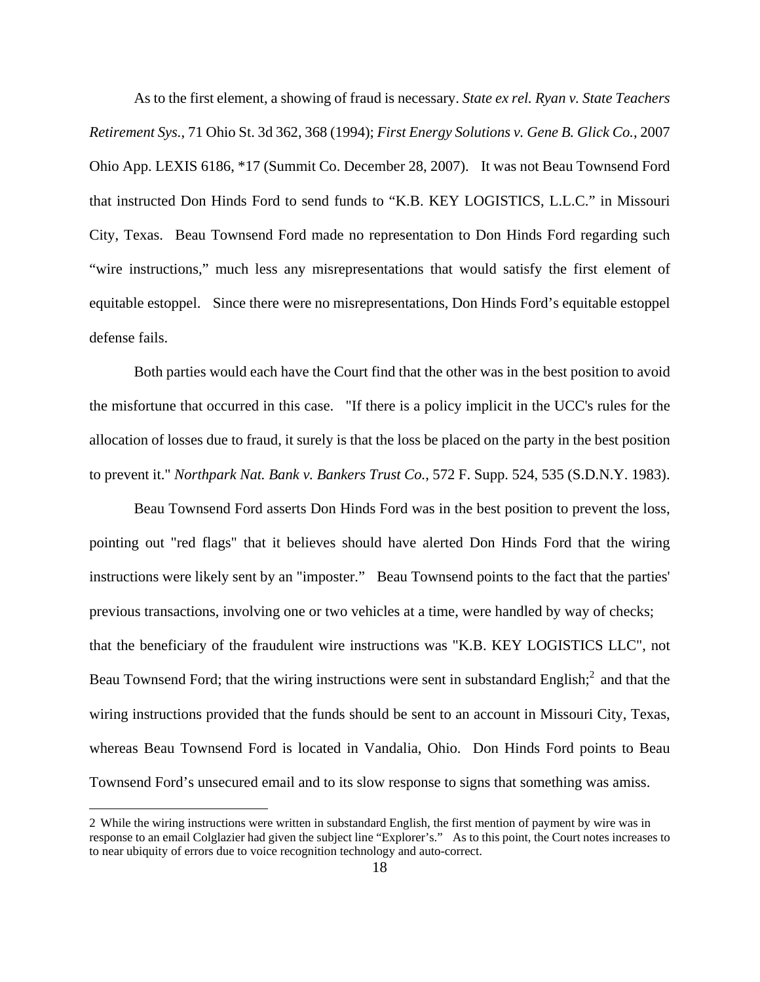As to the first element, a showing of fraud is necessary. *State ex rel. Ryan v. State Teachers Retirement Sys.*, 71 Ohio St. 3d 362, 368 (1994); *First Energy Solutions v. Gene B. Glick Co.*, 2007 Ohio App. LEXIS 6186, \*17 (Summit Co. December 28, 2007). It was not Beau Townsend Ford that instructed Don Hinds Ford to send funds to "K.B. KEY LOGISTICS, L.L.C." in Missouri City, Texas. Beau Townsend Ford made no representation to Don Hinds Ford regarding such "wire instructions," much less any misrepresentations that would satisfy the first element of equitable estoppel. Since there were no misrepresentations, Don Hinds Ford's equitable estoppel defense fails.

Both parties would each have the Court find that the other was in the best position to avoid the misfortune that occurred in this case. "If there is a policy implicit in the UCC's rules for the allocation of losses due to fraud, it surely is that the loss be placed on the party in the best position to prevent it." *Northpark Nat. Bank v. Bankers Trust Co.*, 572 F. Supp. 524, 535 (S.D.N.Y. 1983).

Beau Townsend Ford asserts Don Hinds Ford was in the best position to prevent the loss, pointing out "red flags" that it believes should have alerted Don Hinds Ford that the wiring instructions were likely sent by an "imposter." Beau Townsend points to the fact that the parties' previous transactions, involving one or two vehicles at a time, were handled by way of checks; that the beneficiary of the fraudulent wire instructions was "K.B. KEY LOGISTICS LLC", not Beau Townsend Ford; that the wiring instructions were sent in substandard English; $^2$  and that the wiring instructions provided that the funds should be sent to an account in Missouri City, Texas, whereas Beau Townsend Ford is located in Vandalia, Ohio. Don Hinds Ford points to Beau Townsend Ford's unsecured email and to its slow response to signs that something was amiss.

<u>.</u>

<sup>2</sup> While the wiring instructions were written in substandard English, the first mention of payment by wire was in response to an email Colglazier had given the subject line "Explorer's." As to this point, the Court notes increases to to near ubiquity of errors due to voice recognition technology and auto-correct.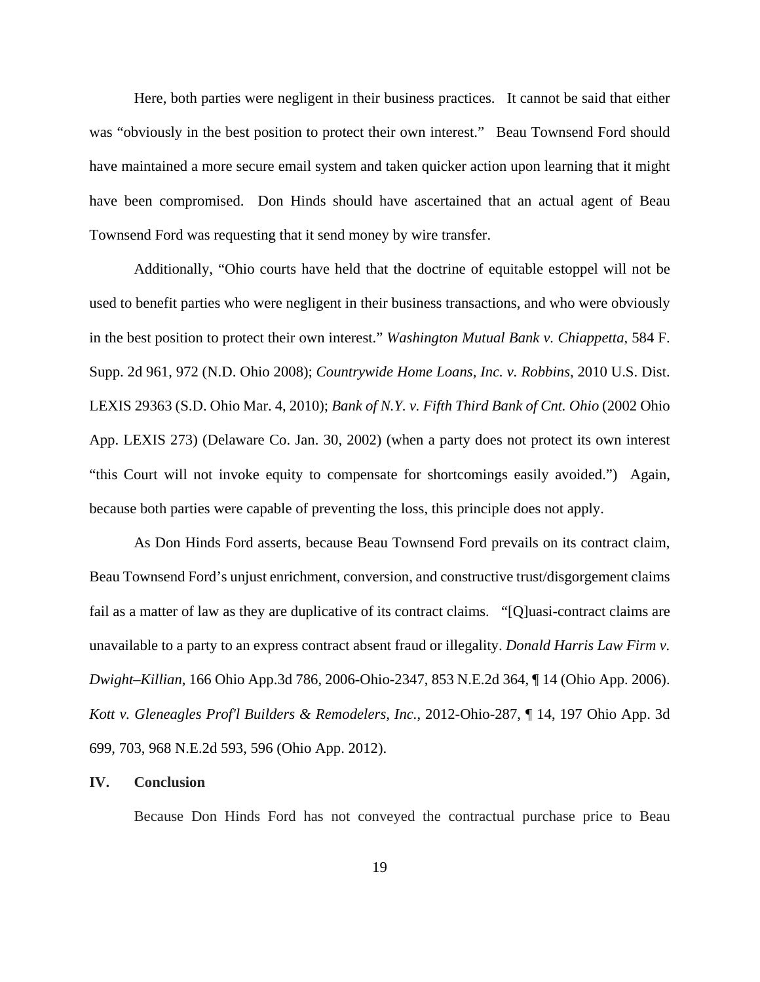Here, both parties were negligent in their business practices. It cannot be said that either was "obviously in the best position to protect their own interest." Beau Townsend Ford should have maintained a more secure email system and taken quicker action upon learning that it might have been compromised. Don Hinds should have ascertained that an actual agent of Beau Townsend Ford was requesting that it send money by wire transfer.

Additionally, "Ohio courts have held that the doctrine of equitable estoppel will not be used to benefit parties who were negligent in their business transactions, and who were obviously in the best position to protect their own interest." *Washington Mutual Bank v. Chiappetta*, 584 F. Supp. 2d 961, 972 (N.D. Ohio 2008); *Countrywide Home Loans, Inc. v. Robbins*, 2010 U.S. Dist. LEXIS 29363 (S.D. Ohio Mar. 4, 2010); *Bank of N.Y. v. Fifth Third Bank of Cnt. Ohio* (2002 Ohio App. LEXIS 273) (Delaware Co. Jan. 30, 2002) (when a party does not protect its own interest "this Court will not invoke equity to compensate for shortcomings easily avoided.") Again, because both parties were capable of preventing the loss, this principle does not apply.

 As Don Hinds Ford asserts, because Beau Townsend Ford prevails on its contract claim, Beau Townsend Ford's unjust enrichment, conversion, and constructive trust/disgorgement claims fail as a matter of law as they are duplicative of its contract claims. "[Q]uasi-contract claims are unavailable to a party to an express contract absent fraud or illegality. *Donald Harris Law Firm v. Dwight–Killian*, 166 Ohio App.3d 786, 2006-Ohio-2347, 853 N.E.2d 364, ¶ 14 (Ohio App. 2006). *Kott v. Gleneagles Prof'l Builders & Remodelers, Inc.*, 2012-Ohio-287, ¶ 14, 197 Ohio App. 3d 699, 703, 968 N.E.2d 593, 596 (Ohio App. 2012).

#### **IV. Conclusion**

Because Don Hinds Ford has not conveyed the contractual purchase price to Beau